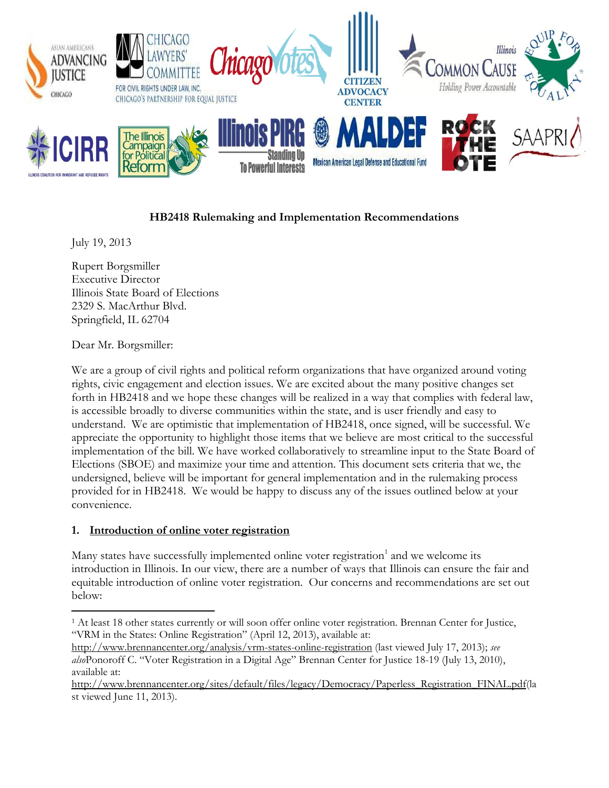

## **HB2418 Rulemaking and Implementation Recommendations**

July 19, 2013

Rupert Borgsmiller Executive Director Illinois State Board of Elections 2329 S. MacArthur Blvd. Springfield, IL 62704

Dear Mr. Borgsmiller:

 $\overline{\phantom{a}}$ 

We are a group of civil rights and political reform organizations that have organized around voting rights, civic engagement and election issues. We are excited about the many positive changes set forth in HB2418 and we hope these changes will be realized in a way that complies with federal law, is accessible broadly to diverse communities within the state, and is user friendly and easy to understand. We are optimistic that implementation of HB2418, once signed, will be successful. We appreciate the opportunity to highlight those items that we believe are most critical to the successful implementation of the bill. We have worked collaboratively to streamline input to the State Board of Elections (SBOE) and maximize your time and attention. This document sets criteria that we, the undersigned, believe will be important for general implementation and in the rulemaking process provided for in HB2418. We would be happy to discuss any of the issues outlined below at your convenience.

#### **1. Introduction of online voter registration**

Many states have successfully implemented online voter registration<sup>1</sup> and we welcome its introduction in Illinois. In our view, there are a number of ways that Illinois can ensure the fair and equitable introduction of online voter registration. Our concerns and recommendations are set out below:

<sup>1</sup> At least 18 other states currently or will soon offer online voter registration. Brennan Center for Justice, "VRM in the States: Online Registration" (April 12, 2013), available at:

<http://www.brennancenter.org/analysis/vrm-states-online-registration> (last viewed July 17, 2013); *see also*Ponoroff C. "Voter Registration in a Digital Age" Brennan Center for Justice 18-19 (July 13, 2010), available at:

[http://www.brennancenter.org/sites/default/files/legacy/Democracy/Paperless\\_Registration\\_FINAL.pdf\(](http://www.brennancenter.org/sites/default/files/legacy/Democracy/Paperless_Registration_FINAL.pdf)la st viewed June 11, 2013).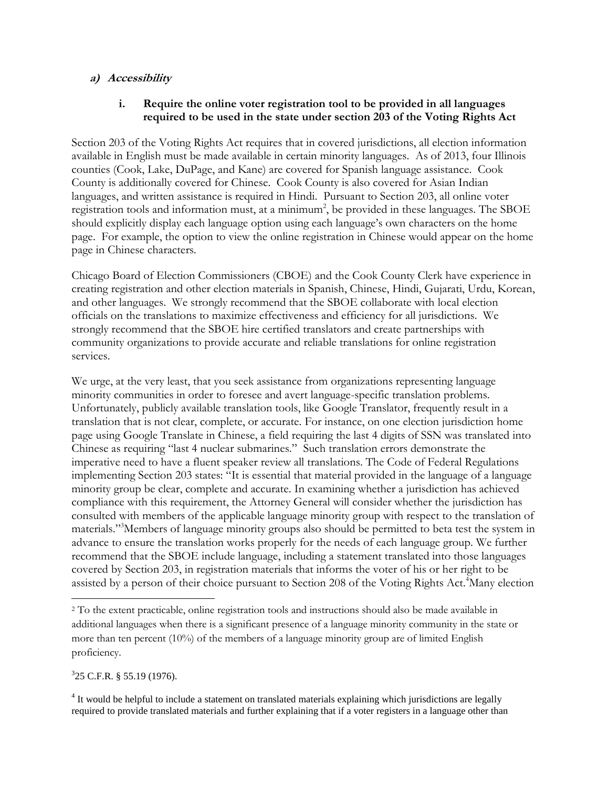#### **a) Accessibility**

#### **i. Require the online voter registration tool to be provided in all languages required to be used in the state under section 203 of the Voting Rights Act**

Section 203 of the Voting Rights Act requires that in covered jurisdictions, all election information available in English must be made available in certain minority languages. As of 2013, four Illinois counties (Cook, Lake, DuPage, and Kane) are covered for Spanish language assistance. Cook County is additionally covered for Chinese. Cook County is also covered for Asian Indian languages, and written assistance is required in Hindi. Pursuant to Section 203, all online voter registration tools and information must, at a minimum<sup>2</sup>, be provided in these languages. The SBOE should explicitly display each language option using each language's own characters on the home page. For example, the option to view the online registration in Chinese would appear on the home page in Chinese characters.

Chicago Board of Election Commissioners (CBOE) and the Cook County Clerk have experience in creating registration and other election materials in Spanish, Chinese, Hindi, Gujarati, Urdu, Korean, and other languages. We strongly recommend that the SBOE collaborate with local election officials on the translations to maximize effectiveness and efficiency for all jurisdictions. We strongly recommend that the SBOE hire certified translators and create partnerships with community organizations to provide accurate and reliable translations for online registration services.

We urge, at the very least, that you seek assistance from organizations representing language minority communities in order to foresee and avert language-specific translation problems. Unfortunately, publicly available translation tools, like Google Translator, frequently result in a translation that is not clear, complete, or accurate. For instance, on one election jurisdiction home page using Google Translate in Chinese, a field requiring the last 4 digits of SSN was translated into Chinese as requiring "last 4 nuclear submarines." Such translation errors demonstrate the imperative need to have a fluent speaker review all translations. The Code of Federal Regulations implementing Section 203 states: "It is essential that material provided in the language of a language minority group be clear, complete and accurate. In examining whether a jurisdiction has achieved compliance with this requirement, the Attorney General will consider whether the jurisdiction has consulted with members of the applicable language minority group with respect to the translation of materials."<sup>3</sup>Members of language minority groups also should be permitted to beta test the system in advance to ensure the translation works properly for the needs of each language group. We further recommend that the SBOE include language, including a statement translated into those languages covered by Section 203, in registration materials that informs the voter of his or her right to be assisted by a person of their choice pursuant to Section 208 of the Voting Rights Act.<sup>4</sup>Many election

 $325$  C.F.R. § 55.19 (1976).

 $\overline{a}$ 

<sup>4</sup> It would be helpful to include a statement on translated materials explaining which jurisdictions are legally required to provide translated materials and further explaining that if a voter registers in a language other than

<sup>2</sup> To the extent practicable, online registration tools and instructions should also be made available in additional languages when there is a significant presence of a language minority community in the state or more than ten percent  $(10\%)$  of the members of a language minority group are of limited English proficiency.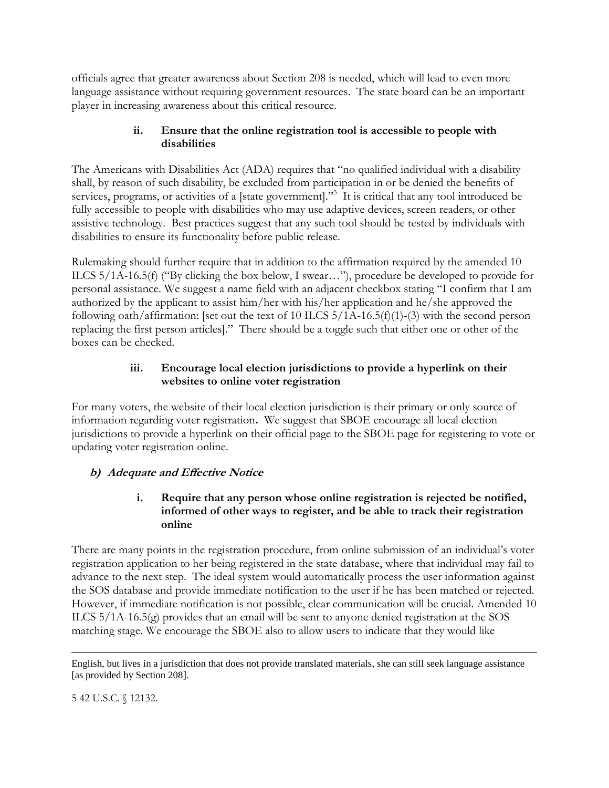officials agree that greater awareness about Section 208 is needed, which will lead to even more language assistance without requiring government resources. The state board can be an important player in increasing awareness about this critical resource.

#### **ii. Ensure that the online registration tool is accessible to people with disabilities**

The Americans with Disabilities Act (ADA) requires that "no qualified individual with a disability shall, by reason of such disability, be excluded from participation in or be denied the benefits of services, programs, or activities of a [state government]."<sup>5</sup> It is critical that any tool introduced be fully accessible to people with disabilities who may use adaptive devices, screen readers, or other assistive technology. Best practices suggest that any such tool should be tested by individuals with disabilities to ensure its functionality before public release.

Rulemaking should further require that in addition to the affirmation required by the amended 10 ILCS 5/1A-16.5(f) ("By clicking the box below, I swear…"), procedure be developed to provide for personal assistance. We suggest a name field with an adjacent checkbox stating "I confirm that I am authorized by the applicant to assist him/her with his/her application and he/she approved the following oath/affirmation: [set out the text of 10 ILCS 5/1A-16.5(f)(1)-(3) with the second person replacing the first person articles]." There should be a toggle such that either one or other of the boxes can be checked.

# **iii. Encourage local election jurisdictions to provide a hyperlink on their websites to online voter registration**

For many voters, the website of their local election jurisdiction is their primary or only source of information regarding voter registration**.** We suggest that SBOE encourage all local election jurisdictions to provide a hyperlink on their official page to the SBOE page for registering to vote or updating voter registration online.

# **b) Adequate and Effective Notice**

## **i. Require that any person whose online registration is rejected be notified, informed of other ways to register, and be able to track their registration online**

There are many points in the registration procedure, from online submission of an individual's voter registration application to her being registered in the state database, where that individual may fail to advance to the next step. The ideal system would automatically process the user information against the SOS database and provide immediate notification to the user if he has been matched or rejected. However, if immediate notification is not possible, clear communication will be crucial. Amended 10 ILCS 5/1A-16.5(g) provides that an email will be sent to anyone denied registration at the SOS matching stage. We encourage the SBOE also to allow users to indicate that they would like

5 42 U.S.C. § 12132.

 $\overline{\phantom{a}}$ 

English, but lives in a jurisdiction that does not provide translated materials, she can still seek language assistance [as provided by Section 208].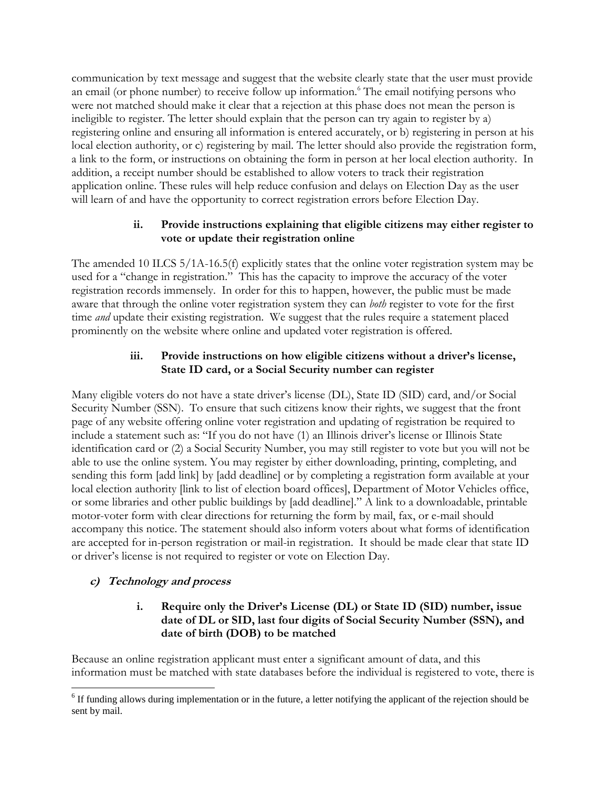communication by text message and suggest that the website clearly state that the user must provide an email (or phone number) to receive follow up information.<sup>6</sup> The email notifying persons who were not matched should make it clear that a rejection at this phase does not mean the person is ineligible to register. The letter should explain that the person can try again to register by a) registering online and ensuring all information is entered accurately, or b) registering in person at his local election authority, or c) registering by mail. The letter should also provide the registration form, a link to the form, or instructions on obtaining the form in person at her local election authority. In addition, a receipt number should be established to allow voters to track their registration application online. These rules will help reduce confusion and delays on Election Day as the user will learn of and have the opportunity to correct registration errors before Election Day.

#### **ii. Provide instructions explaining that eligible citizens may either register to vote or update their registration online**

The amended 10 ILCS 5/1A-16.5(f) explicitly states that the online voter registration system may be used for a "change in registration." This has the capacity to improve the accuracy of the voter registration records immensely. In order for this to happen, however, the public must be made aware that through the online voter registration system they can *both* register to vote for the first time *and* update their existing registration. We suggest that the rules require a statement placed prominently on the website where online and updated voter registration is offered.

#### **iii. Provide instructions on how eligible citizens without a driver's license, State ID card, or a Social Security number can register**

Many eligible voters do not have a state driver's license (DL), State ID (SID) card, and/or Social Security Number (SSN). To ensure that such citizens know their rights, we suggest that the front page of any website offering online voter registration and updating of registration be required to include a statement such as: "If you do not have (1) an Illinois driver's license or Illinois State identification card or (2) a Social Security Number, you may still register to vote but you will not be able to use the online system. You may register by either downloading, printing, completing, and sending this form [add link] by [add deadline] or by completing a registration form available at your local election authority [link to list of election board offices], Department of Motor Vehicles office, or some libraries and other public buildings by [add deadline]." A link to a downloadable, printable motor-voter form with clear directions for returning the form by mail, fax, or e-mail should accompany this notice. The statement should also inform voters about what forms of identification are accepted for in-person registration or mail-in registration. It should be made clear that state ID or driver's license is not required to register or vote on Election Day.

## **c) Technology and process**

#### **i. Require only the Driver's License (DL) or State ID (SID) number, issue date of DL or SID, last four digits of Social Security Number (SSN), and date of birth (DOB) to be matched**

Because an online registration applicant must enter a significant amount of data, and this information must be matched with state databases before the individual is registered to vote, there is

 $\overline{\phantom{a}}$  $6$  If funding allows during implementation or in the future, a letter notifying the applicant of the rejection should be sent by mail.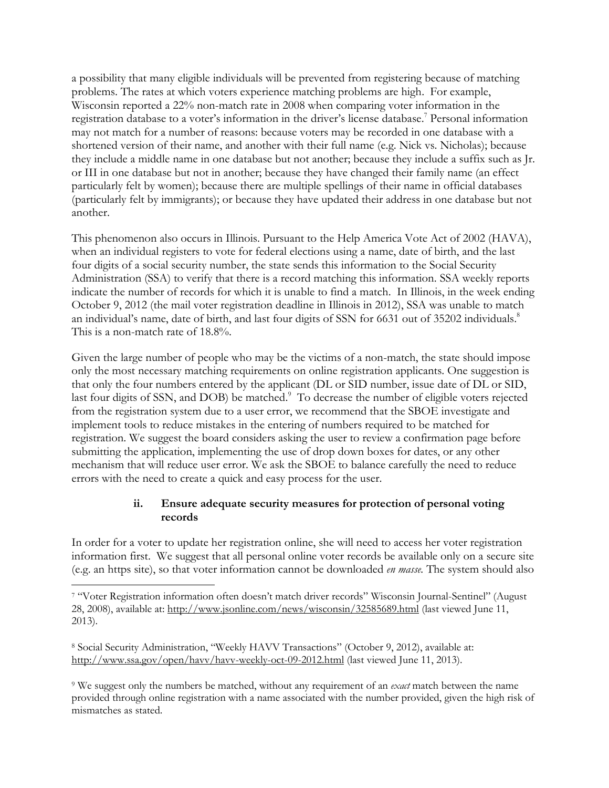a possibility that many eligible individuals will be prevented from registering because of matching problems. The rates at which voters experience matching problems are high. For example, Wisconsin reported a 22% non-match rate in 2008 when comparing voter information in the registration database to a voter's information in the driver's license database. <sup>7</sup> Personal information may not match for a number of reasons: because voters may be recorded in one database with a shortened version of their name, and another with their full name (e.g. Nick vs. Nicholas); because they include a middle name in one database but not another; because they include a suffix such as Jr. or III in one database but not in another; because they have changed their family name (an effect particularly felt by women); because there are multiple spellings of their name in official databases (particularly felt by immigrants); or because they have updated their address in one database but not another.

This phenomenon also occurs in Illinois. Pursuant to the Help America Vote Act of 2002 (HAVA), when an individual registers to vote for federal elections using a name, date of birth, and the last four digits of a social security number, the state sends this information to the Social Security Administration (SSA) to verify that there is a record matching this information. SSA weekly reports indicate the number of records for which it is unable to find a match. In Illinois, in the week ending October 9, 2012 (the mail voter registration deadline in Illinois in 2012), SSA was unable to match an individual's name, date of birth, and last four digits of SSN for 6631 out of 35202 individuals.<sup>8</sup> This is a non-match rate of 18.8%.

Given the large number of people who may be the victims of a non-match, the state should impose only the most necessary matching requirements on online registration applicants. One suggestion is that only the four numbers entered by the applicant (DL or SID number, issue date of DL or SID, last four digits of SSN, and DOB) be matched.<sup>9</sup> To decrease the number of eligible voters rejected from the registration system due to a user error, we recommend that the SBOE investigate and implement tools to reduce mistakes in the entering of numbers required to be matched for registration. We suggest the board considers asking the user to review a confirmation page before submitting the application, implementing the use of drop down boxes for dates, or any other mechanism that will reduce user error. We ask the SBOE to balance carefully the need to reduce errors with the need to create a quick and easy process for the user.

## **ii. Ensure adequate security measures for protection of personal voting records**

In order for a voter to update her registration online, she will need to access her voter registration information first. We suggest that all personal online voter records be available only on a secure site (e.g. an https site), so that voter information cannot be downloaded *en masse.* The system should also

 $\overline{\phantom{a}}$ 

<sup>9</sup> We suggest only the numbers be matched, without any requirement of an *exact* match between the name provided through online registration with a name associated with the number provided, given the high risk of mismatches as stated.

<sup>7</sup> "Voter Registration information often doesn't match driver records" Wisconsin Journal-Sentinel" (August 28, 2008), available at:<http://www.jsonline.com/news/wisconsin/32585689.html> (last viewed June 11, 2013).

<sup>8</sup> Social Security Administration, "Weekly HAVV Transactions" (October 9, 2012), available at: <http://www.ssa.gov/open/havv/havv-weekly-oct-09-2012.html> (last viewed June 11, 2013).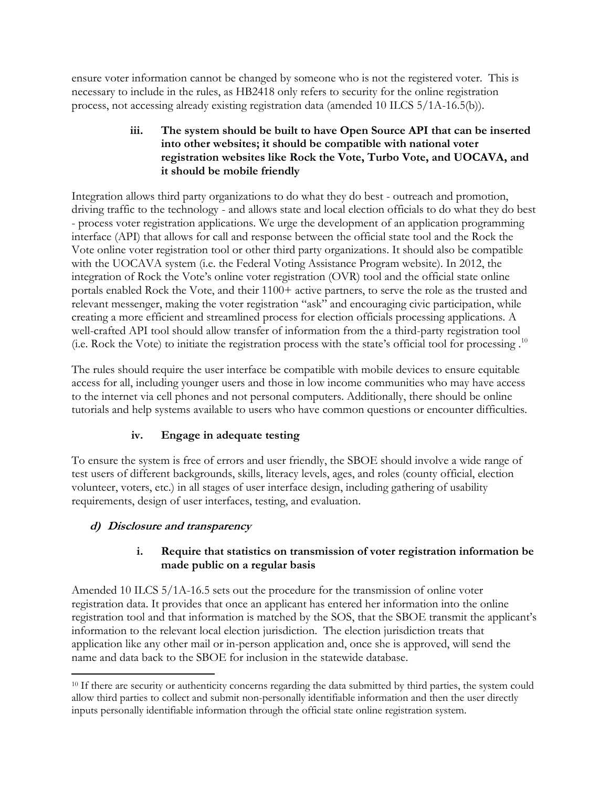ensure voter information cannot be changed by someone who is not the registered voter. This is necessary to include in the rules, as HB2418 only refers to security for the online registration process, not accessing already existing registration data (amended 10 ILCS 5/1A-16.5(b)).

#### **iii. The system should be built to have Open Source API that can be inserted into other websites; it should be compatible with national voter registration websites like Rock the Vote, Turbo Vote, and UOCAVA, and it should be mobile friendly**

Integration allows third party organizations to do what they do best - outreach and promotion, driving traffic to the technology - and allows state and local election officials to do what they do best - process voter registration applications. We urge the development of an application programming interface (API) that allows for call and response between the official state tool and the Rock the Vote online voter registration tool or other third party organizations. It should also be compatible with the UOCAVA system (i.e. the Federal Voting Assistance Program website). In 2012, the integration of Rock the Vote's online voter registration (OVR) tool and the official state online portals enabled Rock the Vote, and their 1100+ active partners, to serve the role as the trusted and relevant messenger, making the voter registration "ask" and encouraging civic participation, while creating a more efficient and streamlined process for election officials processing applications. A well-crafted API tool should allow transfer of information from the a third-party registration tool (i.e. Rock the Vote) to initiate the registration process with the state's official tool for processing . 10

The rules should require the user interface be compatible with mobile devices to ensure equitable access for all, including younger users and those in low income communities who may have access to the internet via cell phones and not personal computers. Additionally, there should be online tutorials and help systems available to users who have common questions or encounter difficulties.

# **iv. Engage in adequate testing**

To ensure the system is free of errors and user friendly, the SBOE should involve a wide range of test users of different backgrounds, skills, literacy levels, ages, and roles (county official, election volunteer, voters, etc.) in all stages of user interface design, including gathering of usability requirements, design of user interfaces, testing, and evaluation.

# **d) Disclosure and transparency**

#### **i. Require that statistics on transmission of voter registration information be made public on a regular basis**

Amended 10 ILCS 5/1A-16.5 sets out the procedure for the transmission of online voter registration data. It provides that once an applicant has entered her information into the online registration tool and that information is matched by the SOS, that the SBOE transmit the applicant's information to the relevant local election jurisdiction. The election jurisdiction treats that application like any other mail or in-person application and, once she is approved, will send the name and data back to the SBOE for inclusion in the statewide database.

l <sup>10</sup> If there are security or authenticity concerns regarding the data submitted by third parties, the system could allow third parties to collect and submit non-personally identifiable information and then the user directly inputs personally identifiable information through the official state online registration system.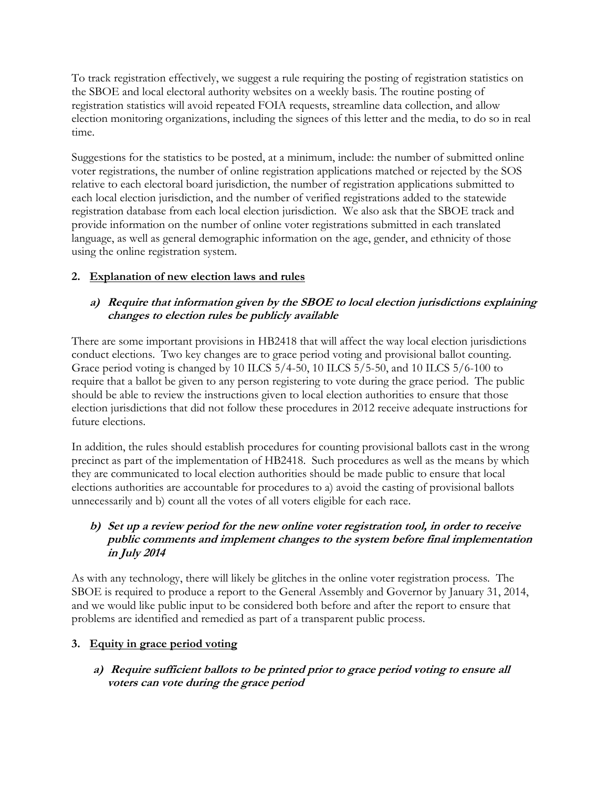To track registration effectively, we suggest a rule requiring the posting of registration statistics on the SBOE and local electoral authority websites on a weekly basis. The routine posting of registration statistics will avoid repeated FOIA requests, streamline data collection, and allow election monitoring organizations, including the signees of this letter and the media, to do so in real time.

Suggestions for the statistics to be posted, at a minimum, include: the number of submitted online voter registrations, the number of online registration applications matched or rejected by the SOS relative to each electoral board jurisdiction, the number of registration applications submitted to each local election jurisdiction, and the number of verified registrations added to the statewide registration database from each local election jurisdiction. We also ask that the SBOE track and provide information on the number of online voter registrations submitted in each translated language, as well as general demographic information on the age, gender, and ethnicity of those using the online registration system.

# **2. Explanation of new election laws and rules**

# **a) Require that information given by the SBOE to local election jurisdictions explaining changes to election rules be publicly available**

There are some important provisions in HB2418 that will affect the way local election jurisdictions conduct elections. Two key changes are to grace period voting and provisional ballot counting. Grace period voting is changed by 10 ILCS 5/4-50, 10 ILCS 5/5-50, and 10 ILCS 5/6-100 to require that a ballot be given to any person registering to vote during the grace period. The public should be able to review the instructions given to local election authorities to ensure that those election jurisdictions that did not follow these procedures in 2012 receive adequate instructions for future elections.

In addition, the rules should establish procedures for counting provisional ballots cast in the wrong precinct as part of the implementation of HB2418. Such procedures as well as the means by which they are communicated to local election authorities should be made public to ensure that local elections authorities are accountable for procedures to a) avoid the casting of provisional ballots unnecessarily and b) count all the votes of all voters eligible for each race.

## **b) Set up a review period for the new online voter registration tool, in order to receive public comments and implement changes to the system before final implementation in July 2014**

As with any technology, there will likely be glitches in the online voter registration process. The SBOE is required to produce a report to the General Assembly and Governor by January 31, 2014, and we would like public input to be considered both before and after the report to ensure that problems are identified and remedied as part of a transparent public process.

## **3. Equity in grace period voting**

**a) Require sufficient ballots to be printed prior to grace period voting to ensure all voters can vote during the grace period**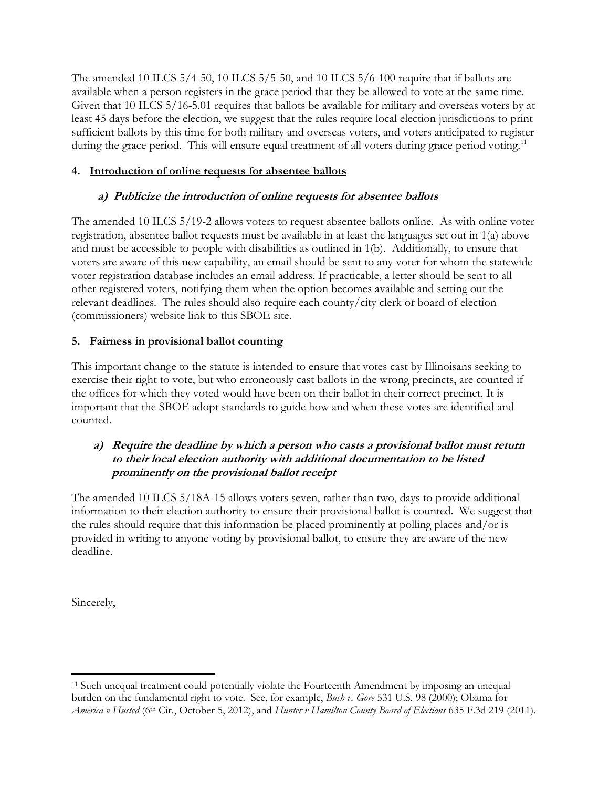The amended 10 ILCS  $5/4$ -50, 10 ILCS  $5/5$ -50, and 10 ILCS  $5/6$ -100 require that if ballots are available when a person registers in the grace period that they be allowed to vote at the same time. Given that 10 ILCS 5/16-5.01 requires that ballots be available for military and overseas voters by at least 45 days before the election, we suggest that the rules require local election jurisdictions to print sufficient ballots by this time for both military and overseas voters, and voters anticipated to register during the grace period. This will ensure equal treatment of all voters during grace period voting.<sup>11</sup>

# **4. Introduction of online requests for absentee ballots**

# **a) Publicize the introduction of online requests for absentee ballots**

The amended 10 ILCS 5/19-2 allows voters to request absentee ballots online. As with online voter registration, absentee ballot requests must be available in at least the languages set out in 1(a) above and must be accessible to people with disabilities as outlined in 1(b). Additionally, to ensure that voters are aware of this new capability, an email should be sent to any voter for whom the statewide voter registration database includes an email address. If practicable, a letter should be sent to all other registered voters, notifying them when the option becomes available and setting out the relevant deadlines. The rules should also require each county/city clerk or board of election (commissioners) website link to this SBOE site.

# **5. Fairness in provisional ballot counting**

This important change to the statute is intended to ensure that votes cast by Illinoisans seeking to exercise their right to vote, but who erroneously cast ballots in the wrong precincts, are counted if the offices for which they voted would have been on their ballot in their correct precinct. It is important that the SBOE adopt standards to guide how and when these votes are identified and counted.

## **a) Require the deadline by which a person who casts a provisional ballot must return to their local election authority with additional documentation to be listed prominently on the provisional ballot receipt**

The amended 10 ILCS 5/18A-15 allows voters seven, rather than two, days to provide additional information to their election authority to ensure their provisional ballot is counted. We suggest that the rules should require that this information be placed prominently at polling places and/or is provided in writing to anyone voting by provisional ballot, to ensure they are aware of the new deadline.

Sincerely,

l <sup>11</sup> Such unequal treatment could potentially violate the Fourteenth Amendment by imposing an unequal burden on the fundamental right to vote. See, for example, *Bush v. Gore* 531 U.S. 98 (2000); Obama for *America v Husted* (6th Cir., October 5, 2012), and *Hunter v Hamilton County Board of Elections* 635 F.3d 219 (2011).